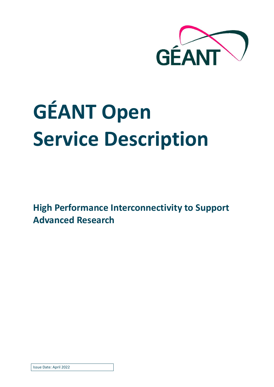

# **GÉANT Open Service Description**

**High Performance Interconnectivity to Support Advanced Research**

Issue Date: April 2022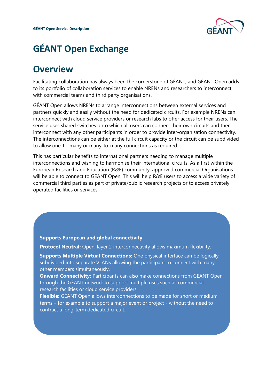

## **GÉANT Open Exchange**

### **Overview**

Facilitating collaboration has always been the cornerstone of GÉANT, and GÉANT Open adds to its portfolio of collaboration services to enable NRENs and researchers to interconnect with commercial teams and third party organisations.

GÉANT Open allows NRENs to arrange interconnections between external services and partners quickly and easily without the need for dedicated circuits. For example NRENs can interconnect with cloud service providers or research labs to offer access for their users. The service uses shared switches onto which all users can connect their own circuits and then interconnect with any other participants in order to provide inter-organisation connectivity. The interconnections can be either at the full circuit capacity or the circuit can be subdivided to allow one-to-many or many-to-many connections as required.

This has particular benefits to international partners needing to manage multiple interconnections and wishing to harmonise their international circuits. As a first within the European Research and Education (R&E) community, approved commercial Organisations will be able to connect to GÉANT Open. This will help R&E users to access a wide variety of commercial third parties as part of private/public research projects or to access privately operated facilities or services.

#### **Supports European and global connectivity**

**Protocol Neutral:** Open, layer 2 interconnectivity allows maximum flexibility.

**Supports Multiple Virtual Connections:** One physical interface can be logically subdivided into separate VLANs allowing the participant to connect with many other members simultaneously.

**Onward Connectivity: Participants can also make connections from GÉANT Open** through the GÉANT network to support multiple uses such as commercial research facilities or cloud service providers.

**Flexible:** GÉANT Open allows interconnections to be made for short or medium terms – for example to support a major event or project - without the need to contract a long-term dedicated circuit.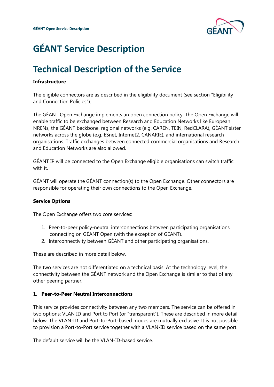

## **GÉANT Service Description**

### **Technical Description of the Service**

### **Infrastructure**

The eligible connectors are as described in the eligibility document (see section "Eligibility and Connection Policies").

The GÉANT Open Exchange implements an open connection policy. The Open Exchange will enable traffic to be exchanged between Research and Education Networks like European NRENs, the GÉANT backbone, regional networks (e.g. CAREN, TEIN, RedCLARA), GÉANT sister networks across the globe (e.g. ESnet, Internet2, CANARIE), and international research organisations. Traffic exchanges between connected commercial organisations and Research and Education Networks are also allowed.

GÉANT IP will be connected to the Open Exchange eligible organisations can switch traffic with it.

GÉANT will operate the GÉANT connection(s) to the Open Exchange. Other connectors are responsible for operating their own connections to the Open Exchange.

### **Service Options**

The Open Exchange offers two core services:

- 1. Peer-to-peer policy-neutral interconnections between participating organisations connecting on GÉANT Open (with the exception of GÉANT).
- 2. Interconnectivity between GÉANT and other participating organisations.

These are described in more detail below.

The two services are not differentiated on a technical basis. At the technology level, the connectivity between the GÉANT network and the Open Exchange is similar to that of any other peering partner.

### **1. Peer-to-Peer Neutral Interconnections**

This service provides connectivity between any two members. The service can be offered in two options: VLAN ID and Port to Port (or "transparent"). These are described in more detail below. The VLAN-ID and Port-to-Port-based modes are mutually exclusive. It is not possible to provision a Port-to-Port service together with a VLAN-ID service based on the same port.

The default service will be the VLAN-ID-based service.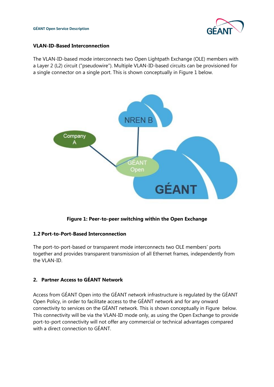### **VLAN-ID-Based Interconnection**

The VLAN-ID-based mode interconnects two Open Lightpath Exchange (OLE) members with a Layer 2 (L2) circuit ("pseudowire"). Multiple VLAN-ID-based circuits can be provisioned for a single connector on a single port. This is shown conceptually in [Figure 1](#page-3-0) below.



**Figure 1: Peer-to-peer switching within the Open Exchange** 

### <span id="page-3-0"></span>**1.2 Port-to-Port-Based Interconnection**

The port-to-port-based or transparent mode interconnects two OLE members' ports together and provides transparent transmission of all Ethernet frames, independently from the VLAN-ID.

### **2. Partner Access to GÉANT Network**

Access from GÉANT Open into the GÉANT network infrastructure is regulated by the GÉANT Open Policy, in order to facilitate access to the GÉANT network and for any onward connectivity to services on the GÉANT network. This is shown conceptually in [Figure](#page-4-0) below. This connectivity will be via the VLAN-ID mode only, as using the Open Exchange to provide port-to-port connectivity will not offer any commercial or technical advantages compared with a direct connection to GÉANT.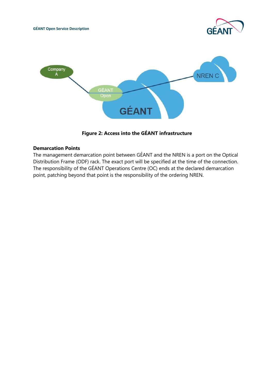



**Figure 2: Access into the GÉANT infrastructure**

### <span id="page-4-0"></span>**Demarcation Points**

The management demarcation point between GÉANT and the NREN is a port on the Optical Distribution Frame (ODF) rack. The exact port will be specified at the time of the connection. The responsibility of the GÉANT Operations Centre (OC) ends at the declared demarcation point, patching beyond that point is the responsibility of the ordering NREN.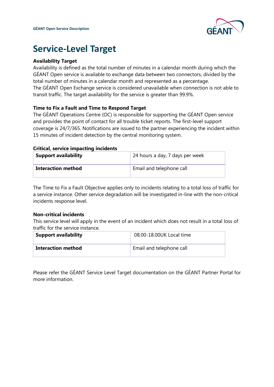

### **Service-Level Target**

### **Availability Target**

Availability is defined as the total number of minutes in a calendar month during which the GÉANT Open service is available to exchange data between two connectors, divided by the total number of minutes in a calendar month and represented as a percentage. The GÉANT Open Exchange service is considered unavailable when connection is not able to transit traffic. The target availability for the service is greater than 99.9%.

### **Time to Fix a Fault and Time to Respond Target**

The GÉANT Operations Centre (OC) is responsible for supporting the GÉANT Open service and provides the point of contact for all trouble ticket reports. The first-level support coverage is 24/7/365. Notifications are issued to the partner experiencing the incident within 15 minutes of incident detection by the central monitoring system.

#### **Critical, service impacting incidents**

| <b>Support availability</b> | 24 hours a day, 7 days per week |
|-----------------------------|---------------------------------|
| Interaction method          | Email and telephone call        |

The Time to Fix a Fault Objective applies only to incidents relating to a total loss of traffic for a service instance. Other service degradation will be investigated in-line with the non-critical incidents response level.

### **Non-critical incidents**

This service level will apply in the event of an incident which does not result in a total loss of traffic for the service instance.

| <b>Support availability</b> | 08.00-18.00UK Local time |
|-----------------------------|--------------------------|
| Interaction method          | Email and telephone call |

Please refer the GÉANT Service Level Target documentation on the GÉANT Partner Portal for more information.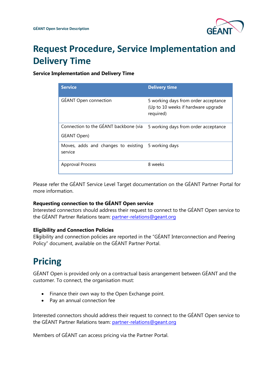

# **Request Procedure, Service Implementation and Delivery Time**

### **Service Implementation and Delivery Time**

| <b>Service</b>                                       | <b>Delivery time</b>                                                                     |
|------------------------------------------------------|------------------------------------------------------------------------------------------|
| <b>GÉANT Open connection</b>                         | 5 working days from order acceptance<br>(Up to 10 weeks if hardware upgrade<br>required) |
| Connection to the GÉANT backbone (via<br>GEANT Open) | 5 working days from order acceptance                                                     |
| Moves, adds and changes to existing<br>service       | 5 working days                                                                           |
| <b>Approval Process</b>                              | 8 weeks                                                                                  |

Please refer the GÉANT Service Level Target documentation on the GÉANT Partner Portal for more information.

### **Requesting connection to the GÉANT Open service**

Interested connectors should address their request to connect to the GÉANT Open service to the GÉANT Partner Relations team: [partner-relations@geant.o](mailto:partner-relations@geant.)rg

### **Eligibility and Connection Policies**

El**i**gibility and connection policies are reported in the "GÉANT Interconnection and Peering Policy" document, available on the GÉANT Partner Portal.

### **[Pricing](https://partner.geant.org/sites/main/networkservices/Pages/GEANT-Peering-Service.aspx)**

GÉANT Open is provided only on a contractual basis arrangement between GÉANT and the customer. To connect, the organisation must:

- Finance their own way to the Open Exchange point.
- Pay an annual connection fee

Interested connectors should address their request to connect to the GÉANT Open service to the GÉANT Partner Relations team: [partner-relations@geant.o](mailto:partner-relations@geant.)rg

Members of GÉANT can access pricing via the Partner Portal.